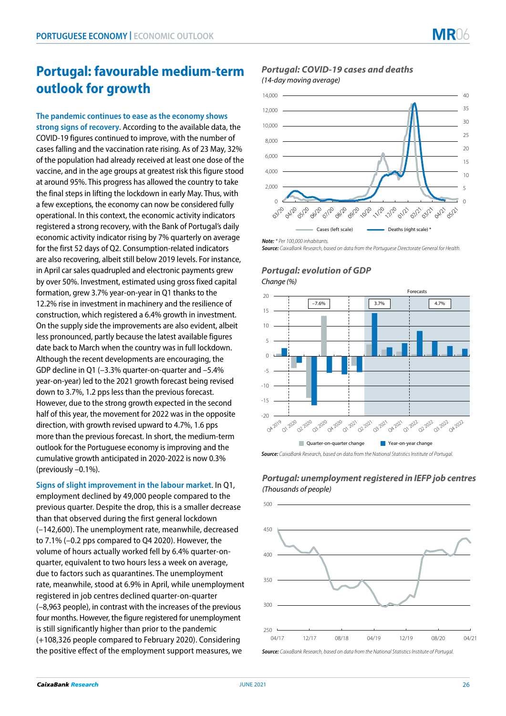# **Portugal: favourable medium-term outlook for growth**

**The pandemic continues to ease as the economy shows strong signs of recovery**. According to the available data, the COVID-19 figures continued to improve, with the number of cases falling and the vaccination rate rising. As of 23 May, 32% of the population had already received at least one dose of the vaccine, and in the age groups at greatest risk this figure stood at around 95%. This progress has allowed the country to take the final steps in lifting the lockdown in early May. Thus, with a few exceptions, the economy can now be considered fully operational. In this context, the economic activity indicators registered a strong recovery, with the Bank of Portugal's daily economic activity indicator rising by 7% quarterly on average for the first 52 days of Q2. Consumption-related indicators are also recovering, albeit still below 2019 levels. For instance, in April car sales quadrupled and electronic payments grew by over 50%. Investment, estimated using gross fixed capital formation, grew 3.7% year-on-year in Q1 thanks to the 12.2% rise in investment in machinery and the resilience of construction, which registered a 6.4% growth in investment. On the supply side the improvements are also evident, albeit less pronounced, partly because the latest available figures date back to March when the country was in full lockdown. Although the recent developments are encouraging, the GDP decline in Q1 (–3.3% quarter-on-quarter and –5.4% year-on-year) led to the 2021 growth forecast being revised down to 3.7%, 1.2 pps less than the previous forecast. However, due to the strong growth expected in the second half of this year, the movement for 2022 was in the opposite direction, with growth revised upward to 4.7%, 1.6 pps more than the previous forecast. In short, the medium-term outlook for the Portuguese economy is improving and the cumulative growth anticipated in 2020-2022 is now 0.3% (previously –0.1%).

**Signs of slight improvement in the labour market**. In Q1, employment declined by 49,000 people compared to the previous quarter. Despite the drop, this is a smaller decrease than that observed during the first general lockdown (–142,600). The unemployment rate, meanwhile, decreased to 7.1% (–0.2 pps compared to Q4 2020). However, the volume of hours actually worked fell by 6.4% quarter-onquarter, equivalent to two hours less a week on average, due to factors such as quarantines. The unemployment rate, meanwhile, stood at 6.9% in April, while unemployment registered in job centres declined quarter-on-quarter (–8,963 people), in contrast with the increases of the previous four months. However, the figure registered for unemployment is still significantly higher than prior to the pandemic (+108,326 people compared to February 2020). Considering the positive effect of the employment support measures, we

## *Portugal: COVID-19 cases and deaths (14-day moving average)*



*Note: \* Per 100,000 inhabitants.*

*Source: CaixaBank Research, based on data from the Portuguese Directorate General for Health.*

## *Portugal: evolution of GDP Change (%)*



*Source: CaixaBank Research, based on data from the National Statistics Institute of Portugal.*

# *Portugal: unemployment registered in IEFP job centres (Thousands of people)*



*Source: CaixaBank Research, based on data from the National Statistics Institute of Portugal.*